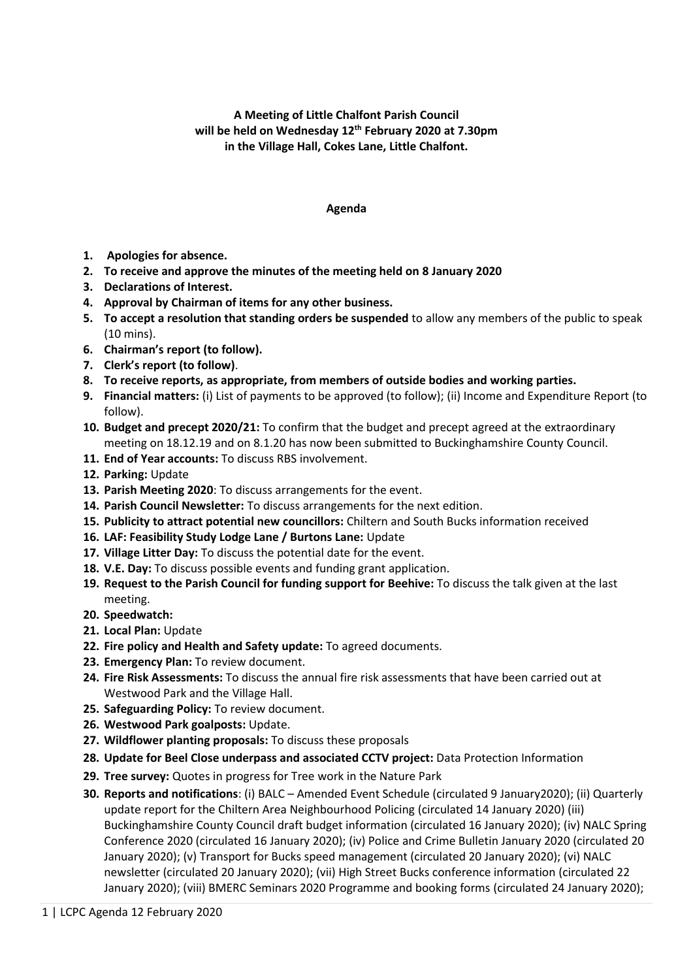## **A Meeting of Little Chalfont Parish Council will be held on Wednesday 12th February 2020 at 7.30pm in the Village Hall, Cokes Lane, Little Chalfont.**

## **Agenda**

- **1. Apologies for absence.**
- **2. To receive and approve the minutes of the meeting held on 8 January 2020**
- **3. Declarations of Interest.**
- **4. Approval by Chairman of items for any other business.**
- **5. To accept a resolution that standing orders be suspended** to allow any members of the public to speak (10 mins).
- **6. Chairman's report (to follow).**
- **7. Clerk's report (to follow)**.
- **8. To receive reports, as appropriate, from members of outside bodies and working parties.**
- **9. Financial matters:** (i) List of payments to be approved (to follow); (ii) Income and Expenditure Report (to follow).
- **10. Budget and precept 2020/21:** To confirm that the budget and precept agreed at the extraordinary meeting on 18.12.19 and on 8.1.20 has now been submitted to Buckinghamshire County Council.
- **11. End of Year accounts:** To discuss RBS involvement.
- **12. Parking:** Update
- **13. Parish Meeting 2020**: To discuss arrangements for the event.
- **14. Parish Council Newsletter:** To discuss arrangements for the next edition.
- **15. Publicity to attract potential new councillors:** Chiltern and South Bucks information received
- **16. LAF: Feasibility Study Lodge Lane / Burtons Lane:** Update
- **17. Village Litter Day:** To discuss the potential date for the event.
- **18. V.E. Day:** To discuss possible events and funding grant application.
- **19. Request to the Parish Council for funding support for Beehive:** To discuss the talk given at the last meeting.
- **20. Speedwatch:**
- **21. Local Plan:** Update
- **22. Fire policy and Health and Safety update:** To agreed documents.
- **23. Emergency Plan:** To review document.
- **24. Fire Risk Assessments:** To discuss the annual fire risk assessments that have been carried out at Westwood Park and the Village Hall.
- **25. Safeguarding Policy:** To review document.
- **26. Westwood Park goalposts:** Update.
- **27. Wildflower planting proposals:** To discuss these proposals
- **28. Update for Beel Close underpass and associated CCTV project:** Data Protection Information
- **29. Tree survey:** Quotes in progress for Tree work in the Nature Park
- **30. Reports and notifications**: (i) BALC Amended Event Schedule (circulated 9 January2020); (ii) Quarterly update report for the Chiltern Area Neighbourhood Policing (circulated 14 January 2020) (iii) Buckinghamshire County Council draft budget information (circulated 16 January 2020); (iv) NALC Spring Conference 2020 (circulated 16 January 2020); (iv) Police and Crime Bulletin January 2020 (circulated 20 January 2020); (v) Transport for Bucks speed management (circulated 20 January 2020); (vi) NALC newsletter (circulated 20 January 2020); (vii) High Street Bucks conference information (circulated 22 January 2020); (viii) BMERC Seminars 2020 Programme and booking forms (circulated 24 January 2020);